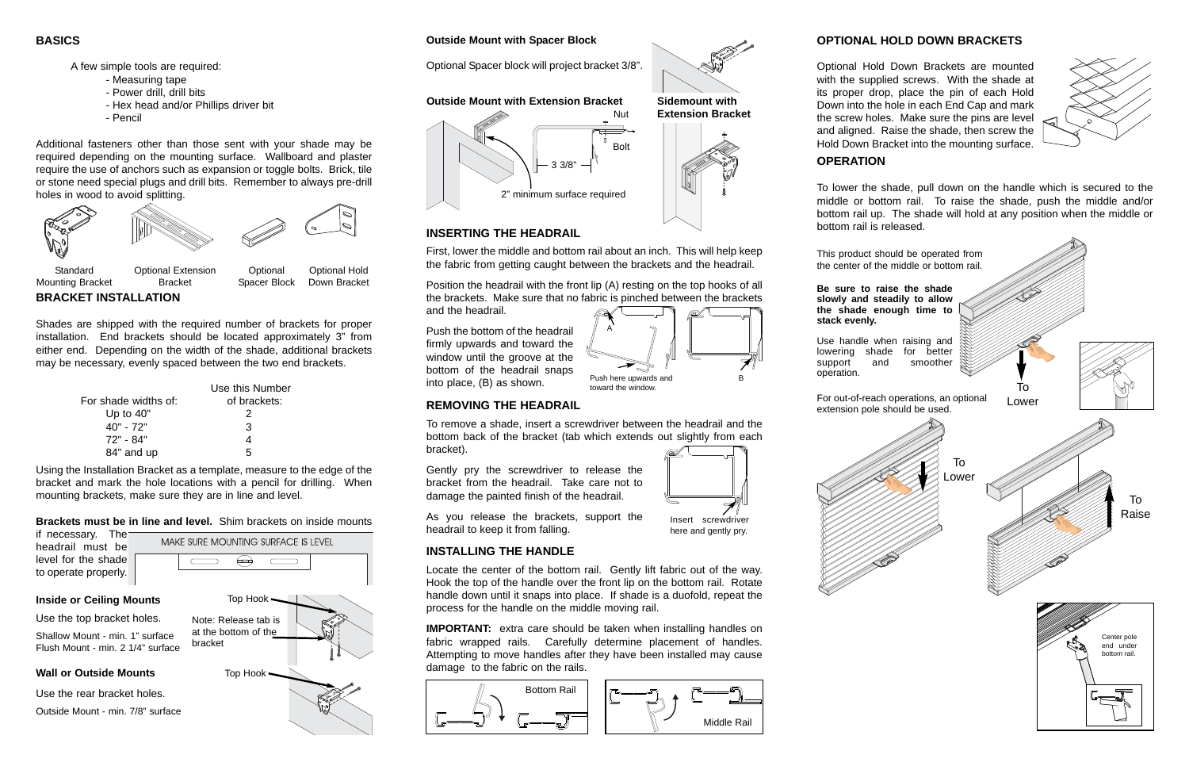### **BASICS**

- A few simple tools are required:
	- Measuring tape
	- Power drill, drill bits
	- Hex head and/or Phillips driver bit
	- Pencil

Additional fasteners other than those sent with your shade may be required depending on the mounting surface. Wallboard and plaster require the use of anchors such as expansion or toggle bolts. Brick, tile or stone need special plugs and drill bits. Remember to always pre-drill holes in wood to avoid splitting.

**BRACKET INSTALLATION**

Shades are shipped with the required number of brackets for proper installation. End brackets should be located approximately 3" from either end. Depending on the width of the shade, additional brackets may be necessary, evenly spaced between the two end brackets.

|                      | Use this Number |
|----------------------|-----------------|
| For shade widths of: | of brackets:    |
| Up to $40"$          | 2               |
| 40" - 72"            | 3               |
| 72" - 84"            |                 |
| 84" and up           | 5               |

### **INSERTING THE HEADRAIL**

First, lower the middle and bottom rail about an inch. This will help keep the fabric from getting caught between the brackets and the headrail.

Position the headrail with the front lip (A) resting on the top hooks of all the brackets. Make sure that no fabric is pinched between the brackets and the headrail.

Push the bottom of the headrail firmly upwards and toward the window until the groove at the bottom of the headrail snaps into place, (B) as shown.

Mounting Bracket



Bracket

Spacer Block

Down Bracket

Using the Installation Bracket as a template, measure to the edge of the bracket and mark the hole locations with a pencil for drilling. When mounting brackets, make sure they are in line and level.

#### **Brackets must be in line and level.** Shim brackets on inside mounts

if necessary. The headrail must be level for the shade to operate properly.

MAKE SURE MOUNTING SURFACE IS LEVEL  $\Longleftrightarrow$ 

> **IMPORTANT:** extra care should be taken when installing handles on fabric wrapped rails. Carefully determine placement of handles. Attempting to move handles after they have been installed may cause damage to the fabric on the rails.



#### **Inside or Ceiling Mounts**

Use the top bracket holes.

Shallow Mount - min. 1" surface Flush Mount - min. 2 1/4" surface

#### **Wall or Outside Mounts**

Use the rear bracket holes.

Outside Mount - min. 7/8" surface

### **Outside Mount with Spacer Block**

Optional Spacer block will project bracket 3/8".



toward the window.

### **Outside Mount with Extension Bracket**



**Extension Bracket**









**REMOVING THE HEADRAIL**

To remove a shade, insert a screwdriver between the headrail and the bottom back of the bracket (tab which extends out slightly from each

bracket).

Gently pry the screwdriver to release the bracket from the headrail. Take care not to damage the painted finish of the headrail.

As you release the brackets, support the

headrail to keep it from falling.

### **OPTIONAL HOLD DOWN BRACKETS**



Optional Hold Down Brackets are mounted with the supplied screws. With the shade at its proper drop, place the pin of each Hold Down into the hole in each End Cap and mark the screw holes. Make sure the pins are level and aligned. Raise the shade, then screw the Hold Down Bracket into the mounting surface.

**INSTALLING THE HANDLE**

Locate the center of the bottom rail. Gently lift fabric out of the way. Hook the top of the handle over the front lip on the bottom rail. Rotate handle down until it snaps into place. If shade is a duofold, repeat the process for the handle on the middle moving rail.

Insert screwdriver here and gently pry.

#### **OPERATION**

To lower the shade, pull down on the handle which is secured to the middle or bottom rail. To raise the shade, push the middle and/or bottom rail up. The shade will hold at any position when the middle or bottom rail is released.



operation.